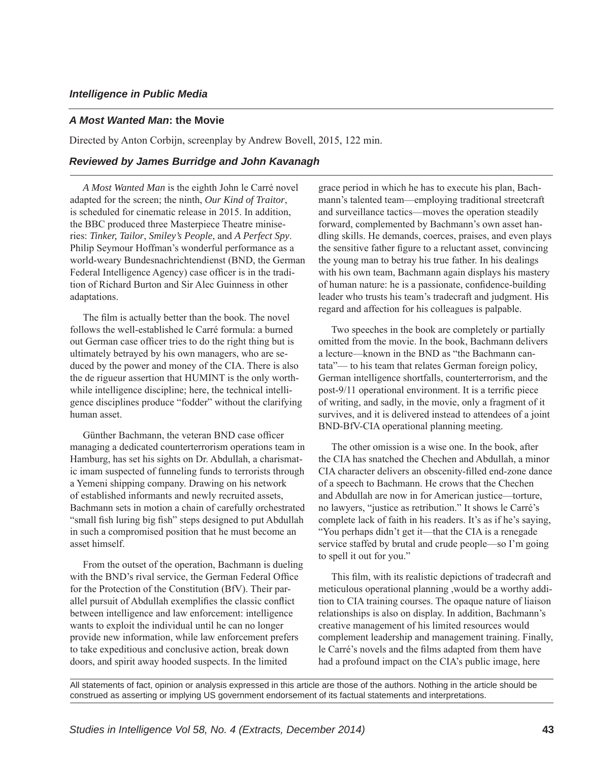## *A Most Wanted Man***: the Movie**

Directed by Anton Corbijn, screenplay by Andrew Bovell, 2015, 122 min.

## *Reviewed by James Burridge and John Kavanagh*

*A Most Wanted Man* is the eighth John le Carré novel adapted for the screen; the ninth, *Our Kind of Traitor*, is scheduled for cinematic release in 2015. In addition, the BBC produced three Masterpiece Theatre miniseries: *Tinker, Tailor*, *Smiley's People*, and *A Perfect Spy*. Philip Seymour Hoffman's wonderful performance as a world-weary Bundesnachrichtendienst (BND, the German Federal Intelligence Agency) case officer is in the tradition of Richard Burton and Sir Alec Guinness in other adaptations.

The film is actually better than the book. The novel follows the well-established le Carré formula: a burned out German case officer tries to do the right thing but is ultimately betrayed by his own managers, who are seduced by the power and money of the CIA. There is also the de rigueur assertion that HUMINT is the only worthwhile intelligence discipline; here, the technical intelligence disciplines produce "fodder" without the clarifying human asset.

Günther Bachmann, the veteran BND case officer managing a dedicated counterterrorism operations team in Hamburg, has set his sights on Dr. Abdullah, a charismatic imam suspected of funneling funds to terrorists through a Yemeni shipping company. Drawing on his network of established informants and newly recruited assets, Bachmann sets in motion a chain of carefully orchestrated "small fish luring big fish" steps designed to put Abdullah in such a compromised position that he must become an asset himself.

From the outset of the operation, Bachmann is dueling with the BND's rival service, the German Federal Office for the Protection of the Constitution (BfV). Their parallel pursuit of Abdullah exemplifies the classic conflict between intelligence and law enforcement: intelligence wants to exploit the individual until he can no longer provide new information, while law enforcement prefers to take expeditious and conclusive action, break down doors, and spirit away hooded suspects. In the limited

grace period in which he has to execute his plan, Bachmann's talented team—employing traditional streetcraft and surveillance tactics—moves the operation steadily forward, complemented by Bachmann's own asset handling skills. He demands, coerces, praises, and even plays the sensitive father figure to a reluctant asset, convincing the young man to betray his true father. In his dealings with his own team, Bachmann again displays his mastery of human nature: he is a passionate, confidence-building leader who trusts his team's tradecraft and judgment. His regard and affection for his colleagues is palpable.

Two speeches in the book are completely or partially omitted from the movie. In the book, Bachmann delivers a lecture—known in the BND as "the Bachmann cantata"— to his team that relates German foreign policy, German intelligence shortfalls, counterterrorism, and the post-9/11 operational environment. It is a terrific piece of writing, and sadly, in the movie, only a fragment of it survives, and it is delivered instead to attendees of a joint BND-BfV-CIA operational planning meeting.

The other omission is a wise one. In the book, after the CIA has snatched the Chechen and Abdullah, a minor CIA character delivers an obscenity-filled end-zone dance of a speech to Bachmann. He crows that the Chechen and Abdullah are now in for American justice—torture, no lawyers, "justice as retribution." It shows le Carré's complete lack of faith in his readers. It's as if he's saying, "You perhaps didn't get it—that the CIA is a renegade service staffed by brutal and crude people—so I'm going to spell it out for you."

This film, with its realistic depictions of tradecraft and meticulous operational planning ,would be a worthy addition to CIA training courses. The opaque nature of liaison relationships is also on display. In addition, Bachmann's creative management of his limited resources would complement leadership and management training. Finally, le Carré's novels and the films adapted from them have had a profound impact on the CIA's public image, here

All statements of fact, opinion or analysis expressed in this article are those of the authors. Nothing in the article should be construed as asserting or implying US government endorsement of its factual statements and interpretations.